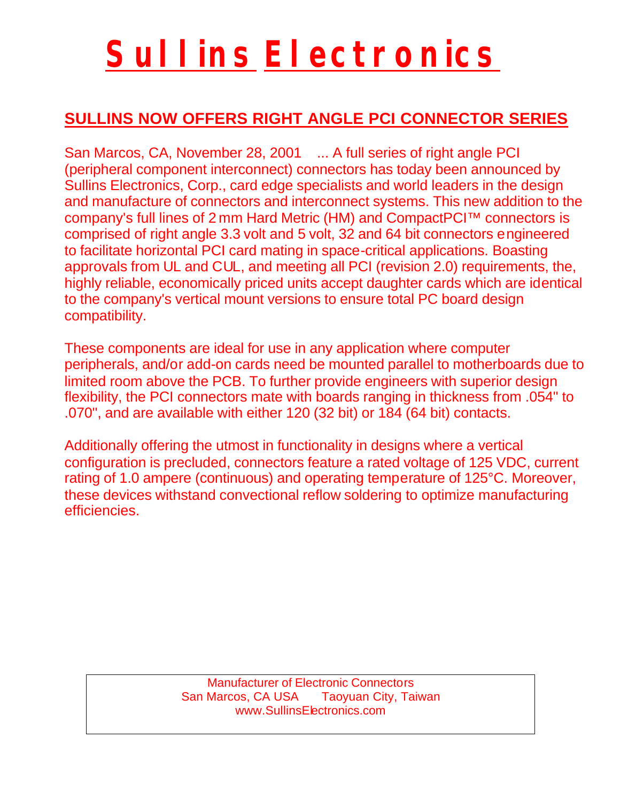## **Sullins Electronics**

## **SULLINS NOW OFFERS RIGHT ANGLE PCI CONNECTOR SERIES**

San Marcos, CA, November 28, 2001 ... A full series of right angle PCI (peripheral component interconnect) connectors has today been announced by Sullins Electronics, Corp., card edge specialists and world leaders in the design and manufacture of connectors and interconnect systems. This new addition to the company's full lines of 2 mm Hard Metric (HM) and CompactPCI™ connectors is comprised of right angle 3.3 volt and 5 volt, 32 and 64 bit connectors engineered to facilitate horizontal PCI card mating in space-critical applications. Boasting approvals from UL and CUL, and meeting all PCI (revision 2.0) requirements, the, highly reliable, economically priced units accept daughter cards which are identical to the company's vertical mount versions to ensure total PC board design compatibility.

These components are ideal for use in any application where computer peripherals, and/or add-on cards need be mounted parallel to motherboards due to limited room above the PCB. To further provide engineers with superior design flexibility, the PCI connectors mate with boards ranging in thickness from .054" to .070", and are available with either 120 (32 bit) or 184 (64 bit) contacts.

Additionally offering the utmost in functionality in designs where a vertical configuration is precluded, connectors feature a rated voltage of 125 VDC, current rating of 1.0 ampere (continuous) and operating temperature of 125°C. Moreover, these devices withstand convectional reflow soldering to optimize manufacturing efficiencies.

> Manufacturer of Electronic Connectors San Marcos, CA USA Taoyuan City, Taiwan www.SullinsElectronics.com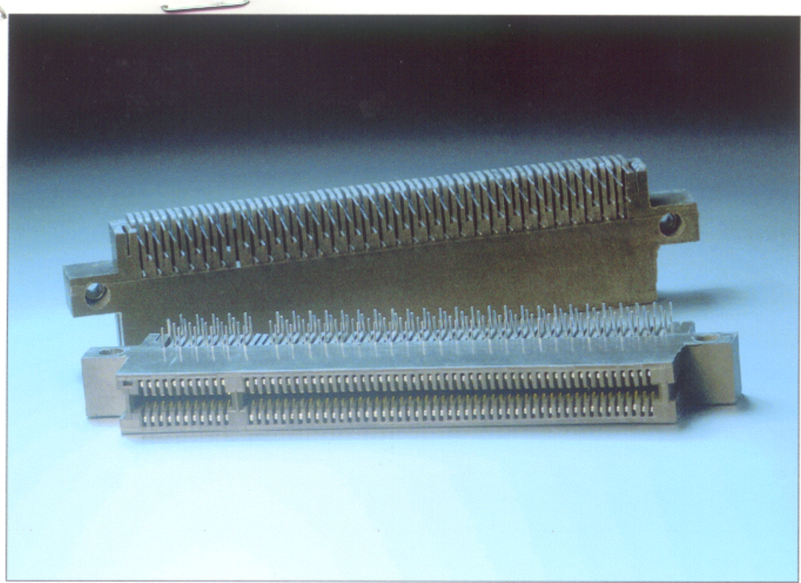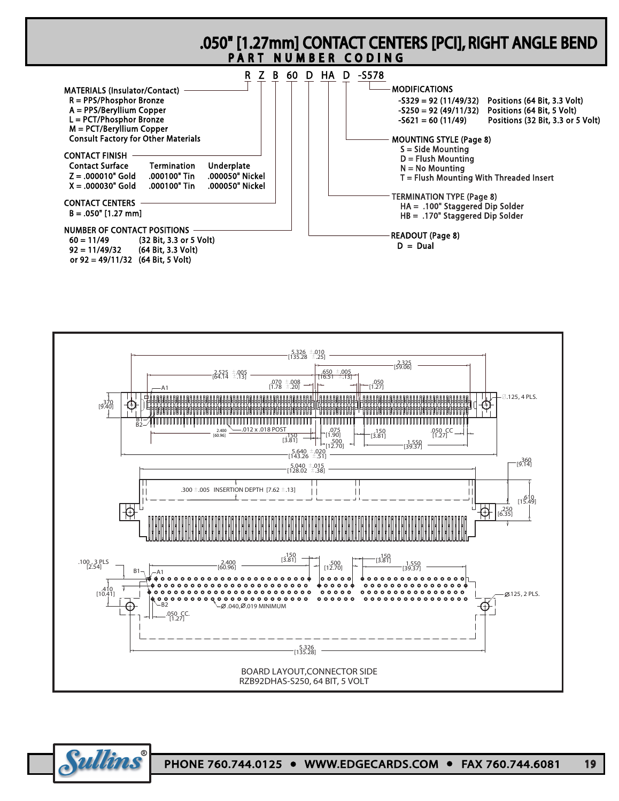